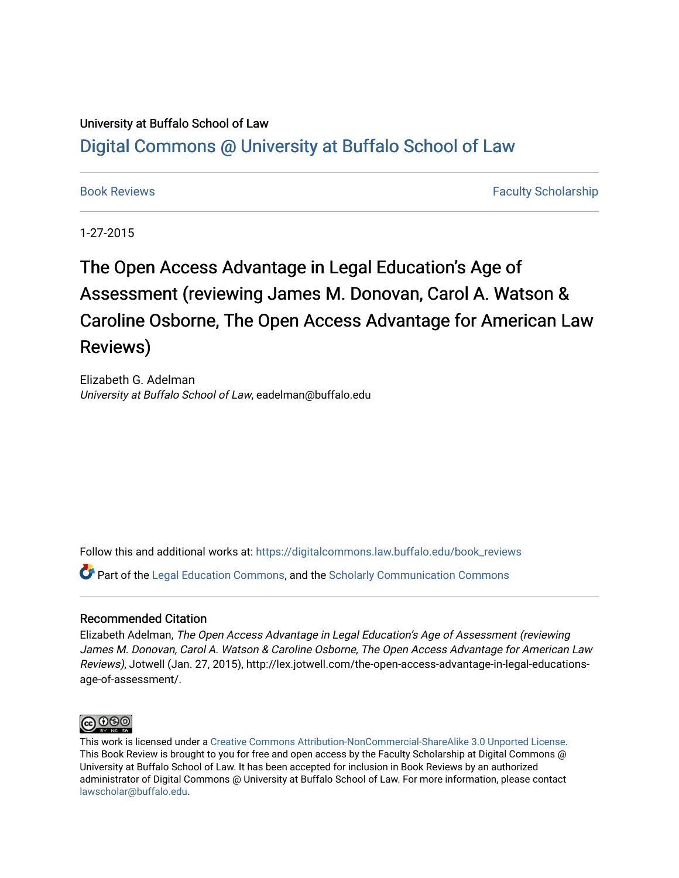### University at Buffalo School of Law [Digital Commons @ University at Buffalo School of Law](https://digitalcommons.law.buffalo.edu/)

[Book Reviews](https://digitalcommons.law.buffalo.edu/book_reviews) [Faculty Scholarship](https://digitalcommons.law.buffalo.edu/faculty_scholarship) Faculty Scholarship

1-27-2015

# The Open Access Advantage in Legal Education's Age of Assessment (reviewing James M. Donovan, Carol A. Watson & Caroline Osborne, The Open Access Advantage for American Law Reviews)

Elizabeth G. Adelman University at Buffalo School of Law, eadelman@buffalo.edu

Follow this and additional works at: [https://digitalcommons.law.buffalo.edu/book\\_reviews](https://digitalcommons.law.buffalo.edu/book_reviews?utm_source=digitalcommons.law.buffalo.edu%2Fbook_reviews%2F114&utm_medium=PDF&utm_campaign=PDFCoverPages) 

Part of the [Legal Education Commons,](http://network.bepress.com/hgg/discipline/857?utm_source=digitalcommons.law.buffalo.edu%2Fbook_reviews%2F114&utm_medium=PDF&utm_campaign=PDFCoverPages) and the [Scholarly Communication Commons](http://network.bepress.com/hgg/discipline/1272?utm_source=digitalcommons.law.buffalo.edu%2Fbook_reviews%2F114&utm_medium=PDF&utm_campaign=PDFCoverPages)

#### Recommended Citation

Elizabeth Adelman, The Open Access Advantage in Legal Education's Age of Assessment (reviewing James M. Donovan, Carol A. Watson & Caroline Osborne, The Open Access Advantage for American Law Reviews), Jotwell (Jan. 27, 2015), http://lex.jotwell.com/the-open-access-advantage-in-legal-educationsage-of-assessment/.



This work is licensed under a [Creative Commons Attribution-NonCommercial-ShareAlike 3.0 Unported License](http://creativecommons.org/licenses/by-nc-sa/3.0/). This Book Review is brought to you for free and open access by the Faculty Scholarship at Digital Commons @ University at Buffalo School of Law. It has been accepted for inclusion in Book Reviews by an authorized administrator of Digital Commons @ University at Buffalo School of Law. For more information, please contact [lawscholar@buffalo.edu](mailto:lawscholar@buffalo.edu).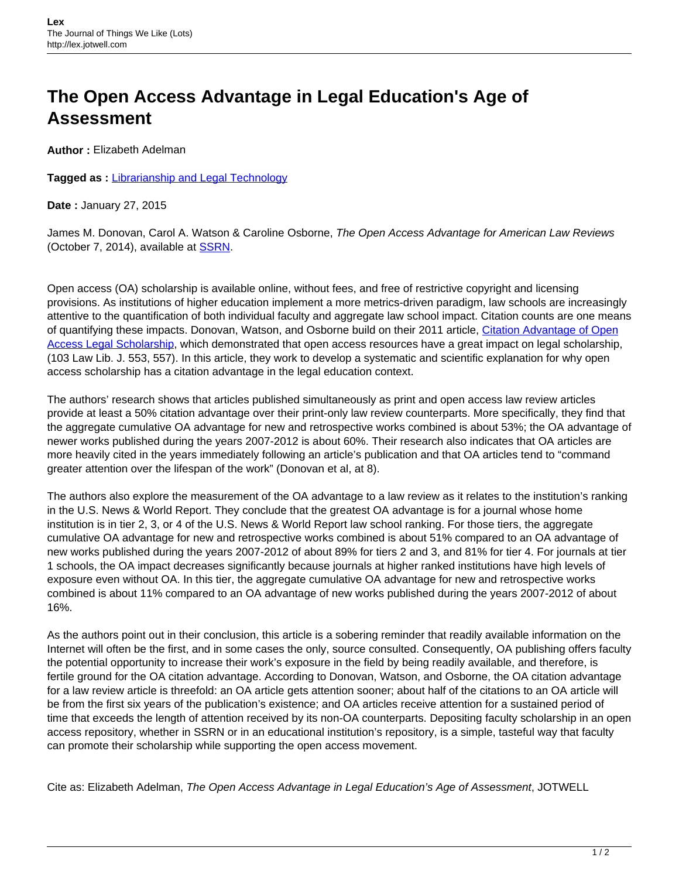## **The Open Access Advantage in Legal Education's Age of Assessment**

**Author :** Elizabeth Adelman

**Tagged as :** [Librarianship and Legal Technology](http://lex.jotwell.com/tag/librarianship/)

**Date :** January 27, 2015

James M. Donovan, Carol A. Watson & Caroline Osborne, The Open Access Advantage for American Law Reviews (October 7, 2014), available at **SSRN**.

Open access (OA) scholarship is available online, without fees, and free of restrictive copyright and licensing provisions. As institutions of higher education implement a more metrics-driven paradigm, law schools are increasingly attentive to the quantification of both individual faculty and aggregate law school impact. Citation counts are one means of quantifying these impacts. Donovan, Watson, and Osborne build on their 2011 article, Citation Advantage of Open [Access Legal Scholarship](http://ssrn.com/abstract=1777090), which demonstrated that open access resources have a great impact on legal scholarship, (103 Law Lib. J. 553, 557). In this article, they work to develop a systematic and scientific explanation for why open access scholarship has a citation advantage in the legal education context.

The authors' research shows that articles published simultaneously as print and open access law review articles provide at least a 50% citation advantage over their print-only law review counterparts. More specifically, they find that the aggregate cumulative OA advantage for new and retrospective works combined is about 53%; the OA advantage of newer works published during the years 2007-2012 is about 60%. Their research also indicates that OA articles are more heavily cited in the years immediately following an article's publication and that OA articles tend to "command greater attention over the lifespan of the work" (Donovan et al, at 8).

The authors also explore the measurement of the OA advantage to a law review as it relates to the institution's ranking in the U.S. News & World Report. They conclude that the greatest OA advantage is for a journal whose home institution is in tier 2, 3, or 4 of the U.S. News & World Report law school ranking. For those tiers, the aggregate cumulative OA advantage for new and retrospective works combined is about 51% compared to an OA advantage of new works published during the years 2007-2012 of about 89% for tiers 2 and 3, and 81% for tier 4. For journals at tier 1 schools, the OA impact decreases significantly because journals at higher ranked institutions have high levels of exposure even without OA. In this tier, the aggregate cumulative OA advantage for new and retrospective works combined is about 11% compared to an OA advantage of new works published during the years 2007-2012 of about 16%.

As the authors point out in their conclusion, this article is a sobering reminder that readily available information on the Internet will often be the first, and in some cases the only, source consulted. Consequently, OA publishing offers faculty the potential opportunity to increase their work's exposure in the field by being readily available, and therefore, is fertile ground for the OA citation advantage. According to Donovan, Watson, and Osborne, the OA citation advantage for a law review article is threefold: an OA article gets attention sooner; about half of the citations to an OA article will be from the first six years of the publication's existence; and OA articles receive attention for a sustained period of time that exceeds the length of attention received by its non-OA counterparts. Depositing faculty scholarship in an open access repository, whether in SSRN or in an educational institution's repository, is a simple, tasteful way that faculty can promote their scholarship while supporting the open access movement.

Cite as: Elizabeth Adelman, The Open Access Advantage in Legal Education's Age of Assessment, JOTWELL